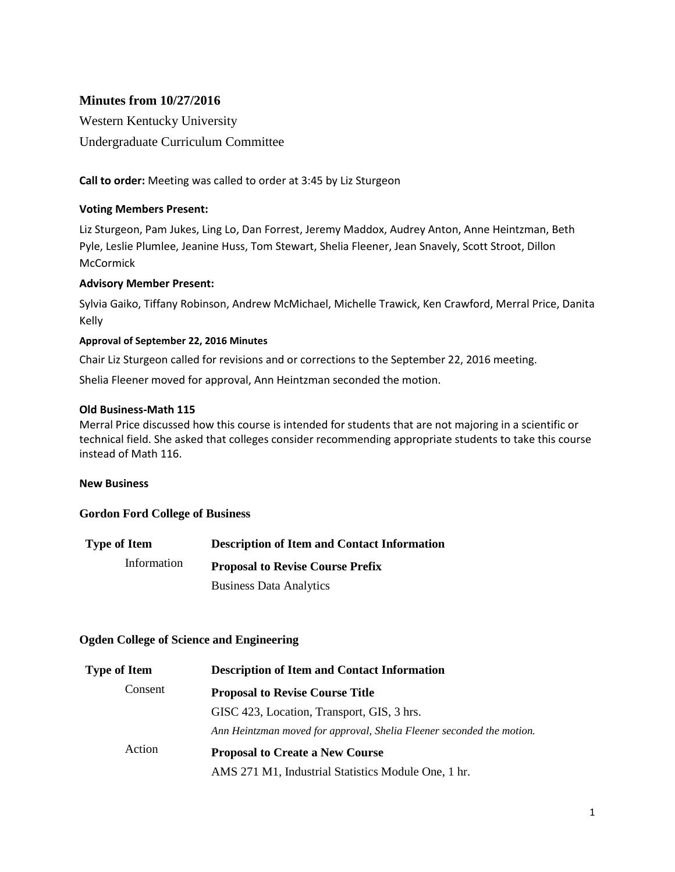### **Minutes from 10/27/2016**

Western Kentucky University Undergraduate Curriculum Committee

### **Call to order:** Meeting was called to order at 3:45 by Liz Sturgeon

### **Voting Members Present:**

Liz Sturgeon, Pam Jukes, Ling Lo, Dan Forrest, Jeremy Maddox, Audrey Anton, Anne Heintzman, Beth Pyle, Leslie Plumlee, Jeanine Huss, Tom Stewart, Shelia Fleener, Jean Snavely, Scott Stroot, Dillon **McCormick** 

### **Advisory Member Present:**

Sylvia Gaiko, Tiffany Robinson, Andrew McMichael, Michelle Trawick, Ken Crawford, Merral Price, Danita Kelly

### **Approval of September 22, 2016 Minutes**

Chair Liz Sturgeon called for revisions and or corrections to the September 22, 2016 meeting.

Shelia Fleener moved for approval, Ann Heintzman seconded the motion.

#### **Old Business-Math 115**

Merral Price discussed how this course is intended for students that are not majoring in a scientific or technical field. She asked that colleges consider recommending appropriate students to take this course instead of Math 116.

### **New Business**

#### **Gordon Ford College of Business**

| <b>Type of Item</b> | <b>Description of Item and Contact Information</b> |
|---------------------|----------------------------------------------------|
| Information         | <b>Proposal to Revise Course Prefix</b>            |
|                     | <b>Business Data Analytics</b>                     |

#### **Ogden College of Science and Engineering**

| <b>Type of Item</b> | <b>Description of Item and Contact Information</b>                    |
|---------------------|-----------------------------------------------------------------------|
| Consent             | <b>Proposal to Revise Course Title</b>                                |
|                     | GISC 423, Location, Transport, GIS, 3 hrs.                            |
|                     | Ann Heintzman moved for approval, Shelia Fleener seconded the motion. |
| Action              | <b>Proposal to Create a New Course</b>                                |
|                     | AMS 271 M1, Industrial Statistics Module One, 1 hr.                   |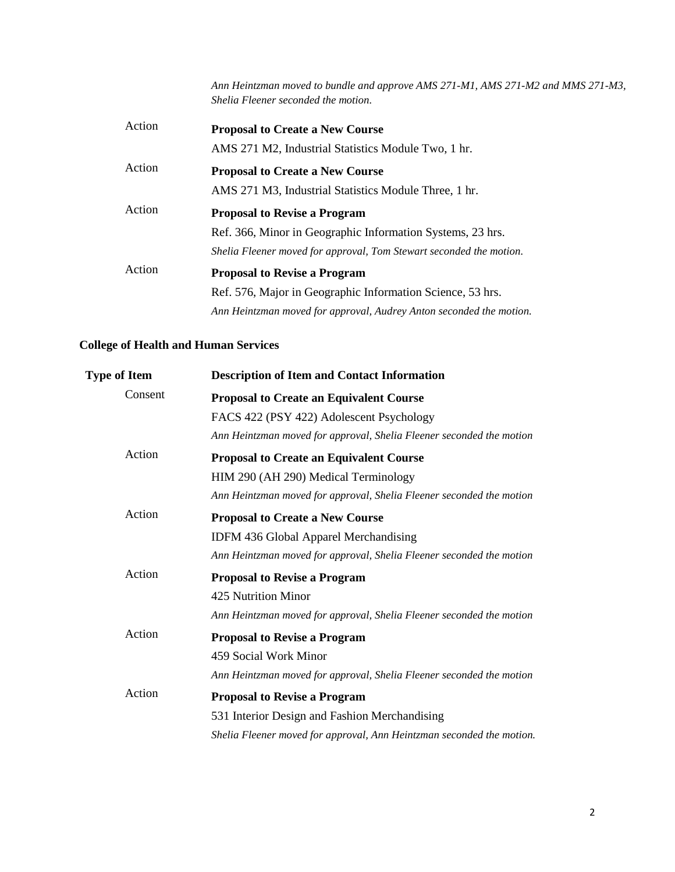*Ann Heintzman moved to bundle and approve AMS 271-M1, AMS 271-M2 and MMS 271-M3, Shelia Fleener seconded the motion.* 

| <b>Proposal to Create a New Course</b>                              |
|---------------------------------------------------------------------|
| AMS 271 M2, Industrial Statistics Module Two, 1 hr.                 |
| <b>Proposal to Create a New Course</b>                              |
| AMS 271 M3, Industrial Statistics Module Three, 1 hr.               |
| <b>Proposal to Revise a Program</b>                                 |
| Ref. 366, Minor in Geographic Information Systems, 23 hrs.          |
| Shelia Fleener moved for approval, Tom Stewart seconded the motion. |
| <b>Proposal to Revise a Program</b>                                 |
| Ref. 576, Major in Geographic Information Science, 53 hrs.          |
| Ann Heintzman moved for approval, Audrey Anton seconded the motion. |
|                                                                     |

### **College of Health and Human Services**

| <b>Type of Item</b> | <b>Description of Item and Contact Information</b>                    |
|---------------------|-----------------------------------------------------------------------|
| Consent             | <b>Proposal to Create an Equivalent Course</b>                        |
|                     | FACS 422 (PSY 422) Adolescent Psychology                              |
|                     | Ann Heintzman moved for approval, Shelia Fleener seconded the motion  |
| Action              | <b>Proposal to Create an Equivalent Course</b>                        |
|                     | HIM 290 (AH 290) Medical Terminology                                  |
|                     | Ann Heintzman moved for approval, Shelia Fleener seconded the motion  |
| Action              | <b>Proposal to Create a New Course</b>                                |
|                     | <b>IDFM 436 Global Apparel Merchandising</b>                          |
|                     | Ann Heintzman moved for approval, Shelia Fleener seconded the motion  |
| Action              | <b>Proposal to Revise a Program</b>                                   |
|                     | 425 Nutrition Minor                                                   |
|                     | Ann Heintzman moved for approval, Shelia Fleener seconded the motion  |
| Action              | <b>Proposal to Revise a Program</b>                                   |
|                     | 459 Social Work Minor                                                 |
|                     | Ann Heintzman moved for approval, Shelia Fleener seconded the motion  |
| Action              | <b>Proposal to Revise a Program</b>                                   |
|                     | 531 Interior Design and Fashion Merchandising                         |
|                     | Shelia Fleener moved for approval, Ann Heintzman seconded the motion. |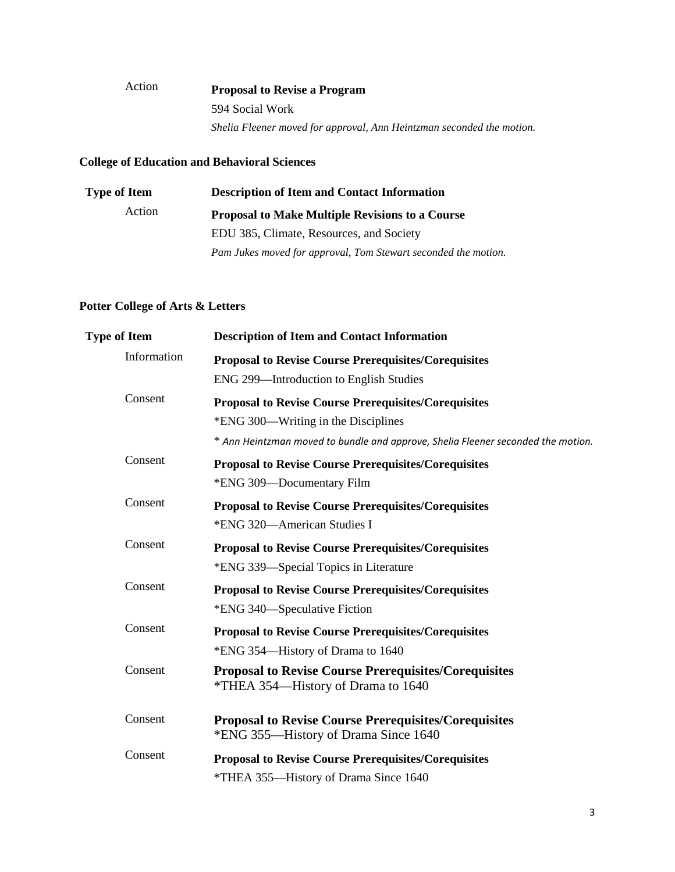# Action **Proposal to Revise a Program** 594 Social Work *Shelia Fleener moved for approval, Ann Heintzman seconded the motion.*

# **College of Education and Behavioral Sciences**

| <b>Type of Item</b> | <b>Description of Item and Contact Information</b>             |
|---------------------|----------------------------------------------------------------|
| Action              | <b>Proposal to Make Multiple Revisions to a Course</b>         |
|                     | EDU 385, Climate, Resources, and Society                       |
|                     | Pam Jukes moved for approval, Tom Stewart seconded the motion. |

# **Potter College of Arts & Letters**

| <b>Type of Item</b> | <b>Description of Item and Contact Information</b>                                                                                                                                     |
|---------------------|----------------------------------------------------------------------------------------------------------------------------------------------------------------------------------------|
| Information         | <b>Proposal to Revise Course Prerequisites/Corequisites</b><br>ENG 299-Introduction to English Studies                                                                                 |
| Consent             | <b>Proposal to Revise Course Prerequisites/Corequisites</b><br>*ENG 300—Writing in the Disciplines<br>* Ann Heintzman moved to bundle and approve, Shelia Fleener seconded the motion. |
| Consent             | <b>Proposal to Revise Course Prerequisites/Corequisites</b><br>*ENG 309—Documentary Film                                                                                               |
| Consent             | <b>Proposal to Revise Course Prerequisites/Corequisites</b><br>*ENG 320—American Studies I                                                                                             |
| Consent             | <b>Proposal to Revise Course Prerequisites/Corequisites</b><br>*ENG 339—Special Topics in Literature                                                                                   |
| Consent             | <b>Proposal to Revise Course Prerequisites/Corequisites</b><br>*ENG 340—Speculative Fiction                                                                                            |
| Consent             | <b>Proposal to Revise Course Prerequisites/Corequisites</b><br>*ENG 354—History of Drama to 1640                                                                                       |
| Consent             | <b>Proposal to Revise Course Prerequisites/Corequisites</b><br>*THEA 354—History of Drama to 1640                                                                                      |
| Consent             | <b>Proposal to Revise Course Prerequisites/Corequisites</b><br>*ENG 355—History of Drama Since 1640                                                                                    |
| Consent             | <b>Proposal to Revise Course Prerequisites/Corequisites</b><br>*THEA 355—History of Drama Since 1640                                                                                   |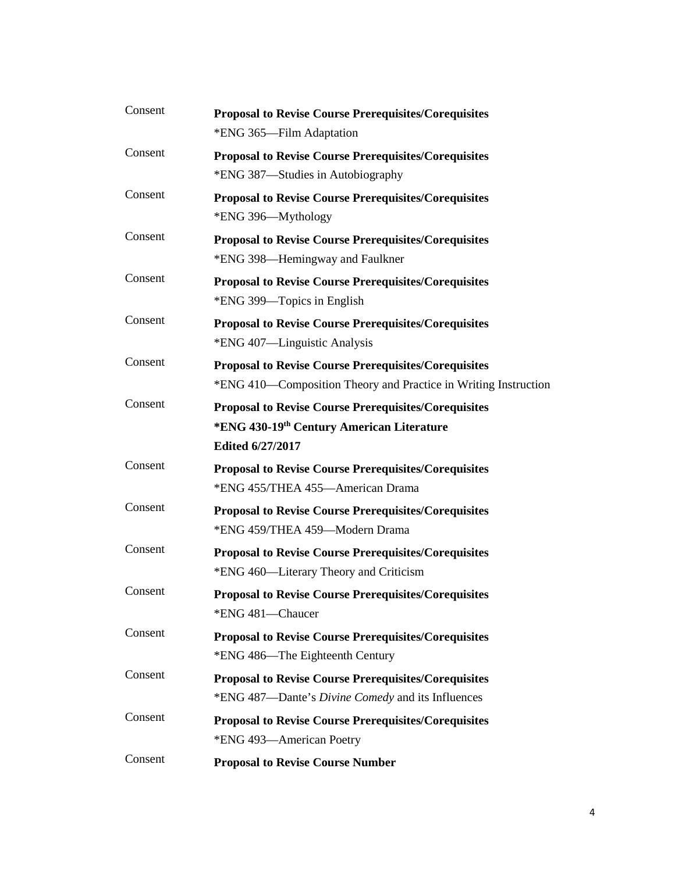| Consent | <b>Proposal to Revise Course Prerequisites/Corequisites</b>                                           |
|---------|-------------------------------------------------------------------------------------------------------|
|         | *ENG 365-Film Adaptation                                                                              |
| Consent | <b>Proposal to Revise Course Prerequisites/Corequisites</b>                                           |
|         | *ENG 387—Studies in Autobiography                                                                     |
| Consent | <b>Proposal to Revise Course Prerequisites/Corequisites</b>                                           |
|         | *ENG 396-Mythology                                                                                    |
| Consent | <b>Proposal to Revise Course Prerequisites/Corequisites</b>                                           |
|         | *ENG 398—Hemingway and Faulkner                                                                       |
| Consent | <b>Proposal to Revise Course Prerequisites/Corequisites</b>                                           |
|         | *ENG 399—Topics in English                                                                            |
| Consent | <b>Proposal to Revise Course Prerequisites/Corequisites</b>                                           |
|         | *ENG 407—Linguistic Analysis                                                                          |
| Consent | <b>Proposal to Revise Course Prerequisites/Corequisites</b>                                           |
|         | *ENG 410—Composition Theory and Practice in Writing Instruction                                       |
| Consent | <b>Proposal to Revise Course Prerequisites/Corequisites</b>                                           |
|         | *ENG 430-19th Century American Literature                                                             |
| Consent | Edited 6/27/2017                                                                                      |
|         | <b>Proposal to Revise Course Prerequisites/Corequisites</b><br>*ENG 455/THEA 455-American Drama       |
| Consent |                                                                                                       |
|         | <b>Proposal to Revise Course Prerequisites/Corequisites</b><br>*ENG 459/THEA 459-Modern Drama         |
| Consent |                                                                                                       |
|         | <b>Proposal to Revise Course Prerequisites/Corequisites</b><br>*ENG 460—Literary Theory and Criticism |
| Consent | <b>Proposal to Revise Course Prerequisites/Corequisites</b>                                           |
|         | *ENG 481-Chaucer                                                                                      |
| Consent | <b>Proposal to Revise Course Prerequisites/Corequisites</b>                                           |
|         | *ENG 486—The Eighteenth Century                                                                       |
| Consent | <b>Proposal to Revise Course Prerequisites/Corequisites</b>                                           |
|         | *ENG 487—Dante's <i>Divine Comedy</i> and its Influences                                              |
| Consent | <b>Proposal to Revise Course Prerequisites/Corequisites</b>                                           |
|         | *ENG 493—American Poetry                                                                              |
| Consent | <b>Proposal to Revise Course Number</b>                                                               |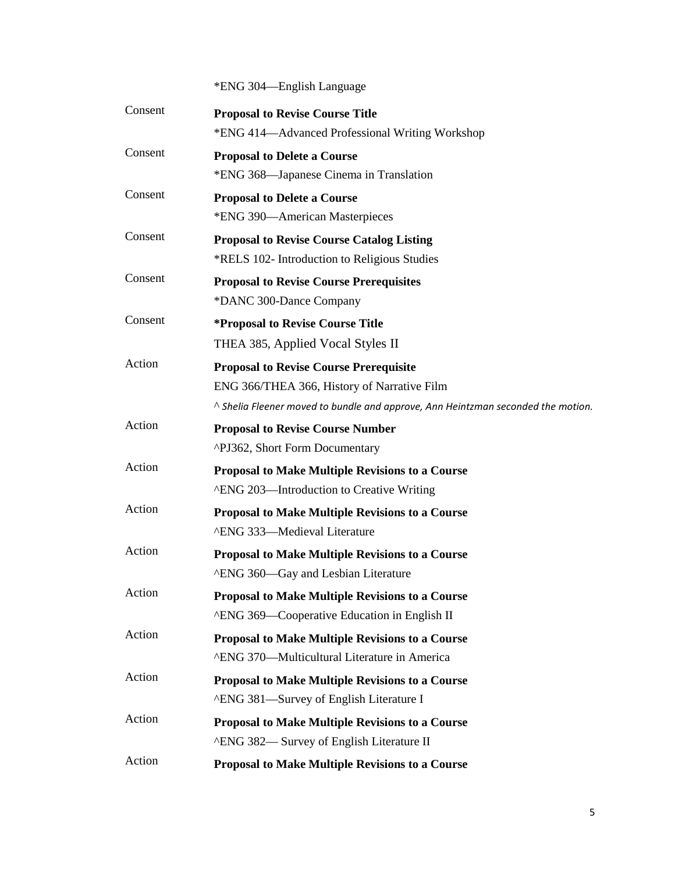# \*ENG 304—English Language

| Consent | <b>Proposal to Revise Course Title</b>                                           |
|---------|----------------------------------------------------------------------------------|
|         | *ENG 414—Advanced Professional Writing Workshop                                  |
| Consent | <b>Proposal to Delete a Course</b>                                               |
|         | *ENG 368—Japanese Cinema in Translation                                          |
| Consent | <b>Proposal to Delete a Course</b>                                               |
|         | *ENG 390-American Masterpieces                                                   |
| Consent | <b>Proposal to Revise Course Catalog Listing</b>                                 |
|         | *RELS 102- Introduction to Religious Studies                                     |
| Consent | <b>Proposal to Revise Course Prerequisites</b>                                   |
|         | *DANC 300-Dance Company                                                          |
| Consent | <i>*Proposal to Revise Course Title</i>                                          |
|         | THEA 385, Applied Vocal Styles II                                                |
| Action  | <b>Proposal to Revise Course Prerequisite</b>                                    |
|         | ENG 366/THEA 366, History of Narrative Film                                      |
|         | ^ Shelia Fleener moved to bundle and approve, Ann Heintzman seconded the motion. |
| Action  | <b>Proposal to Revise Course Number</b>                                          |
|         | ^PJ362, Short Form Documentary                                                   |
| Action  | <b>Proposal to Make Multiple Revisions to a Course</b>                           |
|         | <b>AENG 203—Introduction to Creative Writing</b>                                 |
| Action  | <b>Proposal to Make Multiple Revisions to a Course</b>                           |
|         | <b>^ENG 333-Medieval Literature</b>                                              |
| Action  | <b>Proposal to Make Multiple Revisions to a Course</b>                           |
|         | ^ENG 360—Gay and Lesbian Literature                                              |
| Action  | <b>Proposal to Make Multiple Revisions to a Course</b>                           |
|         | ^ENG 369-Cooperative Education in English II                                     |
| Action  | <b>Proposal to Make Multiple Revisions to a Course</b>                           |
|         | ^ENG 370-Multicultural Literature in America                                     |
| Action  | <b>Proposal to Make Multiple Revisions to a Course</b>                           |
|         | <b>ARAICH 281</b> —Survey of English Literature I                                |
| Action  | <b>Proposal to Make Multiple Revisions to a Course</b>                           |
|         | ^ENG 382-Survey of English Literature II                                         |
| Action  | Proposal to Make Multiple Revisions to a Course                                  |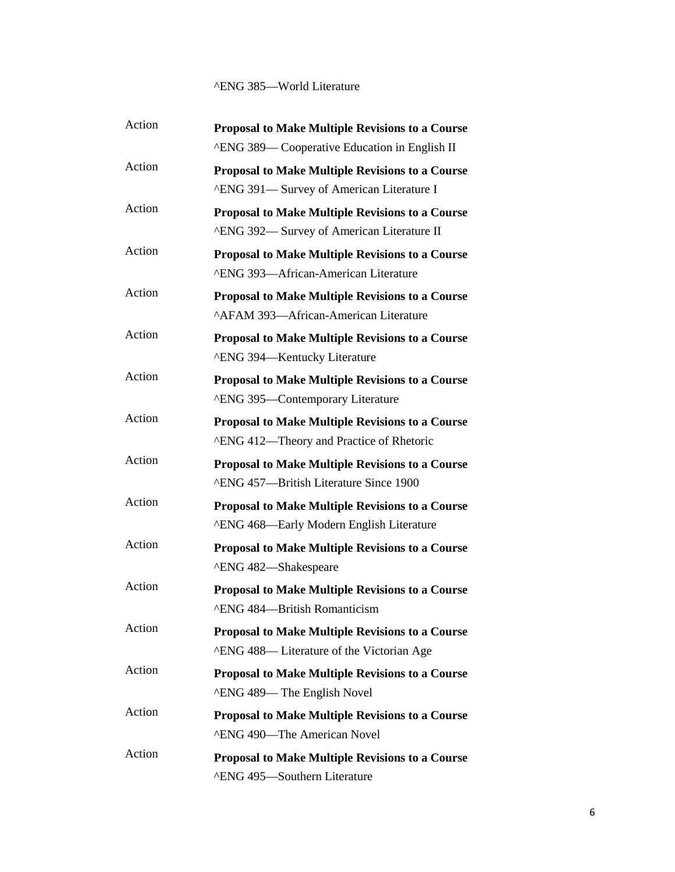### ^ENG 385—World Literature

| Action | <b>Proposal to Make Multiple Revisions to a Course</b> |
|--------|--------------------------------------------------------|
|        | <b>AENG 389— Cooperative Education in English II</b>   |
| Action | <b>Proposal to Make Multiple Revisions to a Course</b> |
|        | <b>AENG 391— Survey of American Literature I</b>       |
| Action | <b>Proposal to Make Multiple Revisions to a Course</b> |
|        | <b>AENG 392— Survey of American Literature II</b>      |
| Action | <b>Proposal to Make Multiple Revisions to a Course</b> |
|        | <b>^ENG 393—African-American Literature</b>            |
| Action | <b>Proposal to Make Multiple Revisions to a Course</b> |
|        | <b>^AFAM 393—African-American Literature</b>           |
| Action | Proposal to Make Multiple Revisions to a Course        |
|        | ^ENG 394-Kentucky Literature                           |
| Action | <b>Proposal to Make Multiple Revisions to a Course</b> |
|        | ^ENG 395—Contemporary Literature                       |
| Action | <b>Proposal to Make Multiple Revisions to a Course</b> |
|        | <b>AENG 412—Theory and Practice of Rhetoric</b>        |
| Action | <b>Proposal to Make Multiple Revisions to a Course</b> |
|        | <b>^ENG 457—British Literature Since 1900</b>          |
| Action | <b>Proposal to Make Multiple Revisions to a Course</b> |
|        | <b>^ENG 468—Early Modern English Literature</b>        |
| Action | <b>Proposal to Make Multiple Revisions to a Course</b> |
|        | ^ENG 482-Shakespeare                                   |
| Action | <b>Proposal to Make Multiple Revisions to a Course</b> |
|        | ^ENG 484-British Romanticism                           |
| Action | <b>Proposal to Make Multiple Revisions to a Course</b> |
|        | ^ENG 488-Literature of the Victorian Age               |
| Action | <b>Proposal to Make Multiple Revisions to a Course</b> |
|        | ^ENG 489— The English Novel                            |
| Action | <b>Proposal to Make Multiple Revisions to a Course</b> |
|        | <b>AENG 490—The American Novel</b>                     |
| Action | <b>Proposal to Make Multiple Revisions to a Course</b> |
|        | <b>^ENG 495-Southern Literature</b>                    |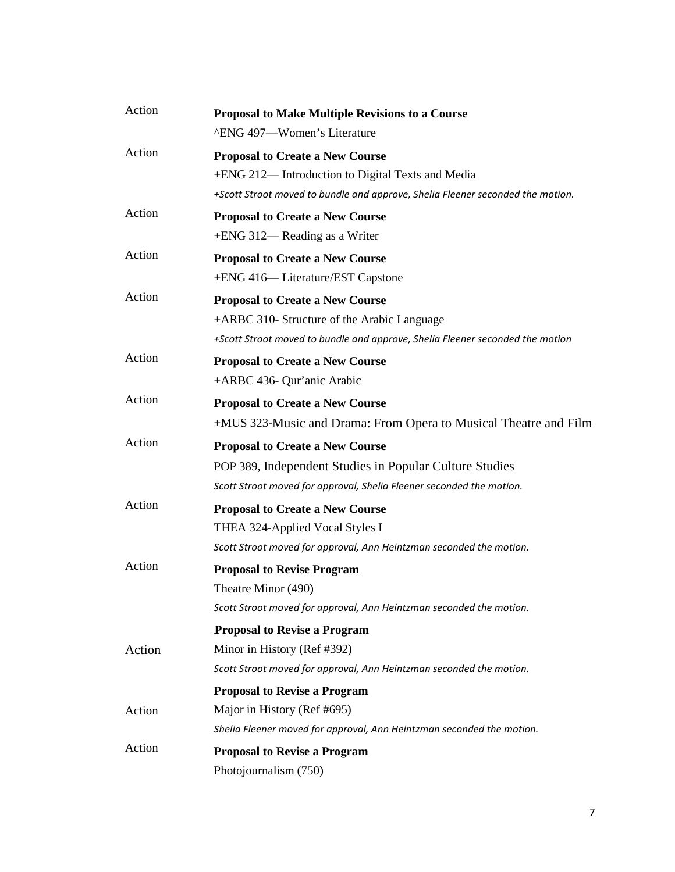| Action | <b>Proposal to Make Multiple Revisions to a Course</b>                         |
|--------|--------------------------------------------------------------------------------|
|        | ^ENG 497-Women's Literature                                                    |
| Action | <b>Proposal to Create a New Course</b>                                         |
|        | +ENG 212— Introduction to Digital Texts and Media                              |
|        | +Scott Stroot moved to bundle and approve, Shelia Fleener seconded the motion. |
| Action | <b>Proposal to Create a New Course</b>                                         |
|        | +ENG 312— Reading as a Writer                                                  |
| Action | <b>Proposal to Create a New Course</b>                                         |
|        | +ENG 416-Literature/EST Capstone                                               |
| Action | <b>Proposal to Create a New Course</b>                                         |
|        | +ARBC 310- Structure of the Arabic Language                                    |
|        | +Scott Stroot moved to bundle and approve, Shelia Fleener seconded the motion  |
| Action | <b>Proposal to Create a New Course</b>                                         |
|        | +ARBC 436- Qur'anic Arabic                                                     |
| Action | <b>Proposal to Create a New Course</b>                                         |
|        | +MUS 323-Music and Drama: From Opera to Musical Theatre and Film               |
| Action | <b>Proposal to Create a New Course</b>                                         |
|        | POP 389, Independent Studies in Popular Culture Studies                        |
|        | Scott Stroot moved for approval, Shelia Fleener seconded the motion.           |
| Action | <b>Proposal to Create a New Course</b>                                         |
|        | THEA 324-Applied Vocal Styles I                                                |
|        | Scott Stroot moved for approval, Ann Heintzman seconded the motion.            |
| Action | <b>Proposal to Revise Program</b>                                              |
|        | Theatre Minor (490)                                                            |
|        | Scott Stroot moved for approval, Ann Heintzman seconded the motion.            |
|        | <b>Proposal to Revise a Program</b>                                            |
| Action | Minor in History (Ref #392)                                                    |
|        | Scott Stroot moved for approval, Ann Heintzman seconded the motion.            |
|        | <b>Proposal to Revise a Program</b>                                            |
| Action | Major in History (Ref #695)                                                    |
|        | Shelia Fleener moved for approval, Ann Heintzman seconded the motion.          |
| Action | <b>Proposal to Revise a Program</b>                                            |
|        | Photojournalism (750)                                                          |